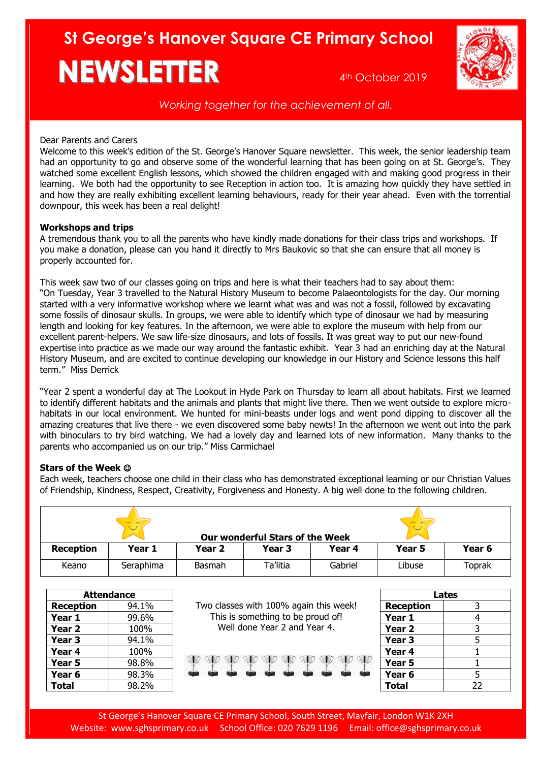# **St George's Hanover Square CE Primary School NEWSLETTER** 4th October 2019



*Working together for the achievement of all.*

## Dear Parents and Carers

Welcome to this week's edition of the St. George's Hanover Square newsletter. This week, the senior leadership team had an opportunity to go and observe some of the wonderful learning that has been going on at St. George's. They watched some excellent English lessons, which showed the children engaged with and making good progress in their learning. We both had the opportunity to see Reception in action too. It is amazing how quickly they have settled in and how they are really exhibiting excellent learning behaviours, ready for their year ahead. Even with the torrential downpour, this week has been a real delight!

# **Workshops and trips**

A tremendous thank you to all the parents who have kindly made donations for their class trips and workshops. If you make a donation, please can you hand it directly to Mrs Baukovic so that she can ensure that all money is properly accounted for.

This week saw two of our classes going on trips and here is what their teachers had to say about them: "On Tuesday, Year 3 travelled to the Natural History Museum to become Palaeontologists for the day. Our morning started with a very informative workshop where we learnt what was and was not a fossil, followed by excavating some fossils of dinosaur skulls. In groups, we were able to identify which type of dinosaur we had by measuring length and looking for key features. In the afternoon, we were able to explore the museum with help from our excellent parent-helpers. We saw life-size dinosaurs, and lots of fossils. It was great way to put our new-found expertise into practice as we made our way around the fantastic exhibit. Year 3 had an enriching day at the Natural History Museum, and are excited to continue developing our knowledge in our History and Science lessons this half term." Miss Derrick

"Year 2 spent a wonderful day at The Lookout in Hyde Park on Thursday to learn all about habitats. First we learned to identify different habitats and the animals and plants that might live there. Then we went outside to explore microhabitats in our local environment. We hunted for mini-beasts under logs and went pond dipping to discover all the amazing creatures that live there - we even discovered some baby newts! In the afternoon we went out into the park with binoculars to try bird watching. We had a lovely day and learned lots of new information. Many thanks to the parents who accompanied us on our trip." Miss Carmichael

# **Stars of the Week**

Each week, teachers choose one child in their class who has demonstrated exceptional learning or our Christian Values of Friendship, Kindness, Respect, Creativity, Forgiveness and Honesty. A big well done to the following children.

| $\sim$<br>$ -$<br><b>Our wonderful Stars of the Week</b> |           |        |          |         |        |        |
|----------------------------------------------------------|-----------|--------|----------|---------|--------|--------|
| <b>Reception</b>                                         | Year 1    | Year 2 | Year 3   | Year 4  | Year 5 | Year 6 |
| Keano                                                    | Seraphima | Basmah | Ta'litia | Gabriel | Libuse | Toprak |

| <b>Attendance</b> |       |                                        | Lates             |    |
|-------------------|-------|----------------------------------------|-------------------|----|
| <b>Reception</b>  | 94.1% | Two classes with 100% again this week! | <b>Reception</b>  |    |
| Year 1            | 99.6% | This is something to be proud of!      | Year 1            |    |
| Year <sub>2</sub> | 100%  | Well done Year 2 and Year 4.           | Year <sub>2</sub> |    |
| Year 3            | 94.1% |                                        | Year <sub>3</sub> |    |
| Year 4            | 100%  |                                        | Year 4            |    |
| Year 5            | 98.8% |                                        | Year 5            |    |
| Year 6            | 98.3% |                                        | Year 6            |    |
| <b>Total</b>      | 98.2% |                                        | <b>Total</b>      | 22 |
|                   |       |                                        |                   |    |

St George's Hanover Square CE Primary School, South Street, Mayfair, London W1K 2XH Website: [www.sghsprimary.co.uk](http://www.sghsprimary.co.uk/) School Office: 020 7629 1196 Email: office@sghsprimary.co.uk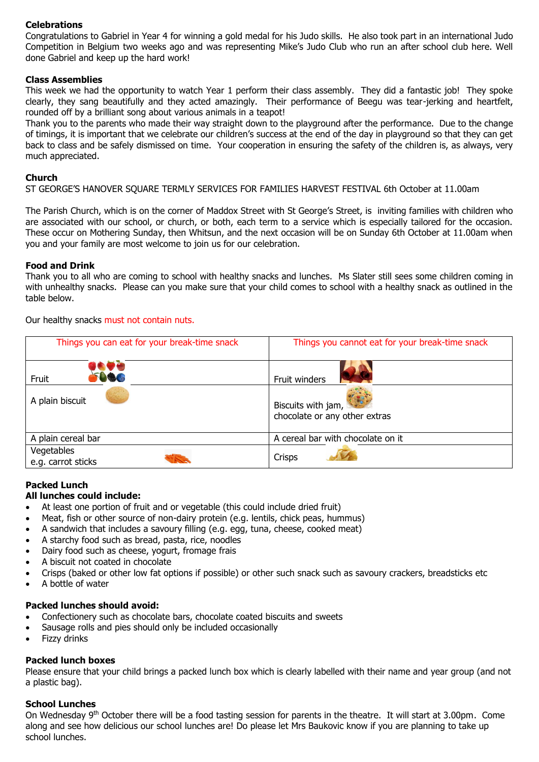# **Celebrations**

Congratulations to Gabriel in Year 4 for winning a gold medal for his Judo skills. He also took part in an international Judo Competition in Belgium two weeks ago and was representing Mike's Judo Club who run an after school club here. Well done Gabriel and keep up the hard work!

#### **Class Assemblies**

This week we had the opportunity to watch Year 1 perform their class assembly. They did a fantastic job! They spoke clearly, they sang beautifully and they acted amazingly. Their performance of Beegu was tear-jerking and heartfelt, rounded off by a brilliant song about various animals in a teapot!

Thank you to the parents who made their way straight down to the playground after the performance. Due to the change of timings, it is important that we celebrate our children's success at the end of the day in playground so that they can get back to class and be safely dismissed on time. Your cooperation in ensuring the safety of the children is, as always, very much appreciated.

#### **Church**

ST GEORGE'S HANOVER SQUARE TERMLY SERVICES FOR FAMILIES HARVEST FESTIVAL 6th October at 11.00am

The Parish Church, which is on the corner of Maddox Street with St George's Street, is inviting families with children who are associated with our school, or church, or both, each term to a service which is especially tailored for the occasion. These occur on Mothering Sunday, then Whitsun, and the next occasion will be on Sunday 6th October at 11.00am when you and your family are most welcome to join us for our celebration.

#### **Food and Drink**

Thank you to all who are coming to school with healthy snacks and lunches. Ms Slater still sees some children coming in with unhealthy snacks. Please can you make sure that your child comes to school with a healthy snack as outlined in the table below.

Our healthy snacks must not contain nuts.

| Things you can eat for your break-time snack | Things you cannot eat for your break-time snack     |
|----------------------------------------------|-----------------------------------------------------|
| <b>BC</b><br>Fruit                           | Fruit winders                                       |
| A plain biscuit                              | Biscuits with jam,<br>chocolate or any other extras |
| A plain cereal bar                           | A cereal bar with chocolate on it                   |
| Vegetables<br>e.g. carrot sticks             | Crisps                                              |

## **Packed Lunch**

#### **All lunches could include:**

- At least one portion of fruit and or vegetable (this could include dried fruit)
- Meat, fish or other source of non-dairy protein (e.g. lentils, chick peas, hummus)
- A sandwich that includes a savoury filling (e.g. egg, tuna, cheese, cooked meat)
- A starchy food such as bread, pasta, rice, noodles
- Dairy food such as cheese, yogurt, fromage frais
- A biscuit not coated in chocolate
- Crisps (baked or other low fat options if possible) or other such snack such as savoury crackers, breadsticks etc
- A bottle of water

## **Packed lunches should avoid:**

- Confectionery such as chocolate bars, chocolate coated biscuits and sweets
- Sausage rolls and pies should only be included occasionally
- Fizzy drinks

## **Packed lunch boxes**

Please ensure that your child brings a packed lunch box which is clearly labelled with their name and year group (and not a plastic bag).

## **School Lunches**

On Wednesday 9<sup>th</sup> October there will be a food tasting session for parents in the theatre. It will start at 3.00pm. Come along and see how delicious our school lunches are! Do please let Mrs Baukovic know if you are planning to take up school lunches.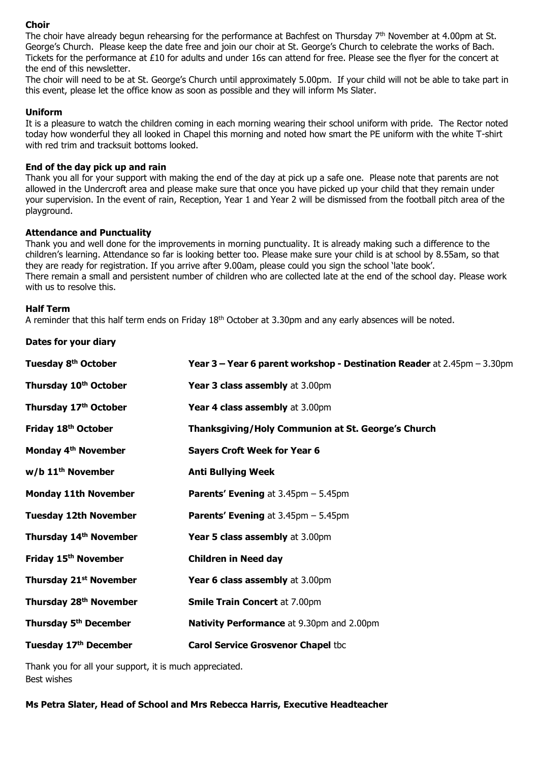## **Choir**

The choir have already begun rehearsing for the performance at Bachfest on Thursday  $7<sup>th</sup>$  November at 4.00pm at St. George's Church. Please keep the date free and join our choir at St. George's Church to celebrate the works of Bach. Tickets for the performance at £10 for adults and under 16s can attend for free. Please see the flyer for the concert at the end of this newsletter.

The choir will need to be at St. George's Church until approximately 5.00pm. If your child will not be able to take part in this event, please let the office know as soon as possible and they will inform Ms Slater.

## **Uniform**

It is a pleasure to watch the children coming in each morning wearing their school uniform with pride. The Rector noted today how wonderful they all looked in Chapel this morning and noted how smart the PE uniform with the white T-shirt with red trim and tracksuit bottoms looked.

#### **End of the day pick up and rain**

Thank you all for your support with making the end of the day at pick up a safe one. Please note that parents are not allowed in the Undercroft area and please make sure that once you have picked up your child that they remain under your supervision. In the event of rain, Reception, Year 1 and Year 2 will be dismissed from the football pitch area of the playground.

#### **Attendance and Punctuality**

Thank you and well done for the improvements in morning punctuality. It is already making such a difference to the children's learning. Attendance so far is looking better too. Please make sure your child is at school by 8.55am, so that they are ready for registration. If you arrive after 9.00am, please could you sign the school 'late book'. There remain a small and persistent number of children who are collected late at the end of the school day. Please work with us to resolve this.

#### **Half Term**

A reminder that this half term ends on Friday 18<sup>th</sup> October at 3.30pm and any early absences will be noted.

| Dates for your diary |  |  |
|----------------------|--|--|
|----------------------|--|--|

| Tuesday 8 <sup>th</sup> October    | Year 3 - Year 6 parent workshop - Destination Reader at 2.45pm - 3.30pm |
|------------------------------------|-------------------------------------------------------------------------|
| Thursday 10 <sup>th</sup> October  | Year 3 class assembly at 3.00pm                                         |
| Thursday 17th October              | Year 4 class assembly at 3.00pm                                         |
| Friday 18th October                | Thanksgiving/Holy Communion at St. George's Church                      |
| Monday 4 <sup>th</sup> November    | <b>Sayers Croft Week for Year 6</b>                                     |
| $w/b$ 11 <sup>th</sup> November    | <b>Anti Bullying Week</b>                                               |
| <b>Monday 11th November</b>        | <b>Parents' Evening</b> at $3.45 \text{pm} - 5.45 \text{pm}$            |
| <b>Tuesday 12th November</b>       | <b>Parents' Evening</b> at $3.45 \text{pm} - 5.45 \text{pm}$            |
| Thursday 14th November             | Year 5 class assembly at 3.00pm                                         |
| Friday 15 <sup>th</sup> November   | <b>Children in Need day</b>                                             |
| Thursday 21 <sup>st</sup> November | Year 6 class assembly at 3.00pm                                         |
| Thursday 28 <sup>th</sup> November | <b>Smile Train Concert at 7.00pm</b>                                    |
| Thursday 5 <sup>th</sup> December  | <b>Nativity Performance</b> at 9.30pm and 2.00pm                        |
| Tuesday 17th December              | <b>Carol Service Grosvenor Chapel tbc</b>                               |

Thank you for all your support, it is much appreciated. Best wishes

**Ms Petra Slater, Head of School and Mrs Rebecca Harris, Executive Headteacher**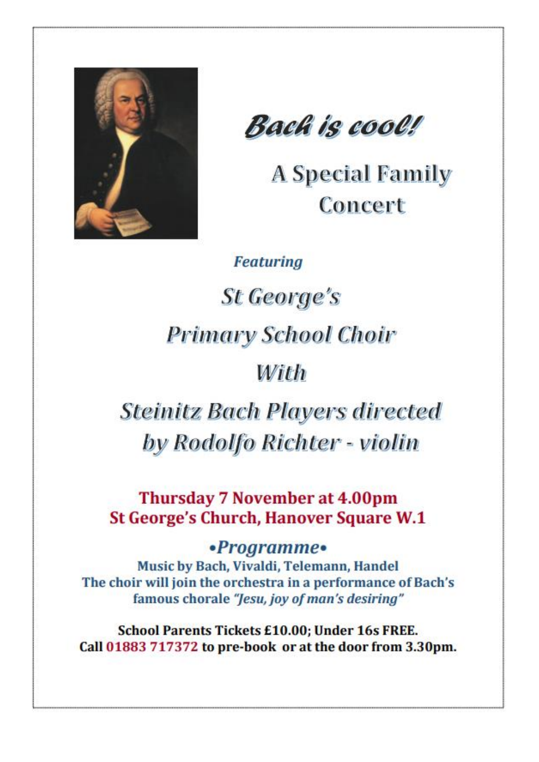

Bach is cool!

**A Special Family** Concert

**Featuring** 

St George's **Primary School Choir** 

With

**Steinitz Bach Players directed** by Rodolfo Richter - violin

**Thursday 7 November at 4.00pm St George's Church, Hanover Square W.1** 

•Programme•

Music by Bach, Vivaldi, Telemann, Handel The choir will join the orchestra in a performance of Bach's famous chorale "Jesu, joy of man's desiring"

**School Parents Tickets £10.00; Under 16s FREE.** Call 01883 717372 to pre-book or at the door from 3.30pm.